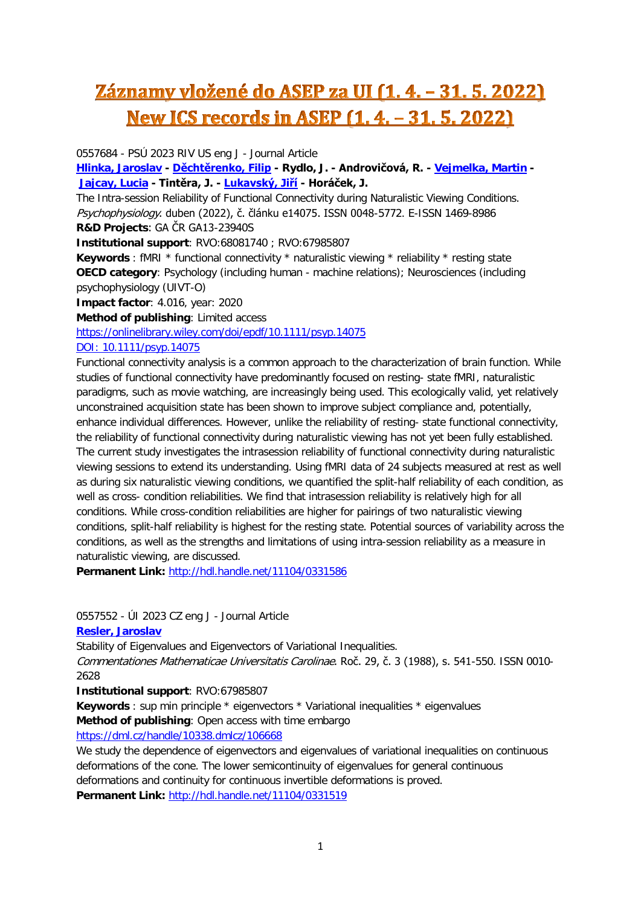# Záznamy vložené do ASEP za UI (1. 4. - 31. 5. 2022) <u>New ICS records in ASEP (1.4. - 31.5.2022)</u>

0557684 - PSÚ 2023 RIV US eng J - Journal Article

**[Hlinka, Jaroslav](https://asep-analytika.lib.cas.cz/bibliografie/asep/uivt-o/0262964) - [Děchtěrenko, Filip](https://asep-analytika.lib.cas.cz/bibliografie/asep/psu-e/0294719) - Rydlo, J. - Androvičová, R. - [Vejmelka, Martin](https://asep-analytika.lib.cas.cz/bibliografie/asep/uivt-o/0227044) - [Jajcay, Lucia](https://asep-analytika.lib.cas.cz/bibliografie/asep/uivt-o/0398294) - Tintěra, J. - [Lukavský, Jiří](https://asep-analytika.lib.cas.cz/bibliografie/asep/psu-e/0106408) - Horáček, J.**

The Intra-session Reliability of Functional Connectivity during Naturalistic Viewing Conditions. Psychophysiology. duben (2022), č. článku e14075. ISSN 0048-5772. E-ISSN 1469-8986 **R&D Projects**: GA ČR GA13-23940S

**Institutional support**: RVO:68081740 ; RVO:67985807

**Keywords** : fMRI \* functional connectivity \* naturalistic viewing \* reliability \* resting state **OECD category**: Psychology (including human - machine relations); Neurosciences (including psychophysiology (UIVT-O)

**Impact factor**: 4.016, year: 2020

**Method of publishing**: Limited access

<https://onlinelibrary.wiley.com/doi/epdf/10.1111/psyp.14075>

#### [DOI: 10.1111/psyp.14075](http://dx.doi.org/10.1111/psyp.14075)

Functional connectivity analysis is a common approach to the characterization of brain function. While studies of functional connectivity have predominantly focused on resting- state fMRI, naturalistic paradigms, such as movie watching, are increasingly being used. This ecologically valid, yet relatively unconstrained acquisition state has been shown to improve subject compliance and, potentially, enhance individual differences. However, unlike the reliability of resting- state functional connectivity, the reliability of functional connectivity during naturalistic viewing has not yet been fully established. The current study investigates the intrasession reliability of functional connectivity during naturalistic viewing sessions to extend its understanding. Using fMRI data of 24 subjects measured at rest as well as during six naturalistic viewing conditions, we quantified the split-half reliability of each condition, as well as cross- condition reliabilities. We find that intrasession reliability is relatively high for all conditions. While cross-condition reliabilities are higher for pairings of two naturalistic viewing conditions, split-half reliability is highest for the resting state. Potential sources of variability across the conditions, as well as the strengths and limitations of using intra-session reliability as a measure in naturalistic viewing, are discussed.

**Permanent Link:** <http://hdl.handle.net/11104/0331586>

0557552 - ÚI 2023 CZ eng J - Journal Article

**[Resler, Jaroslav](https://asep-analytika.lib.cas.cz/bibliografie/asep/uivt-o/0209045)**

Stability of Eigenvalues and Eigenvectors of Variational Inequalities.

Commentationes Mathematicae Universitatis Carolinae. Roč. 29, č. 3 (1988), s. 541-550. ISSN 0010- 2628

**Institutional support**: RVO:67985807

**Keywords** : sup min principle \* eigenvectors \* Variational inequalities \* eigenvalues **Method of publishing**: Open access with time embargo

[https://dml.cz/handle/10338.dmlcz/106668](https://asep.lib.cas.cz/arl-cav/en/gwext/?url=https%3A//dml.cz/handle/10338.dmlcz/106668&type=extlink)

We study the dependence of eigenvectors and eigenvalues of variational inequalities on continuous deformations of the cone. The lower semicontinuity of eigenvalues for general continuous deformations and continuity for continuous invertible deformations is proved. **Permanent Link:** <http://hdl.handle.net/11104/0331519>

1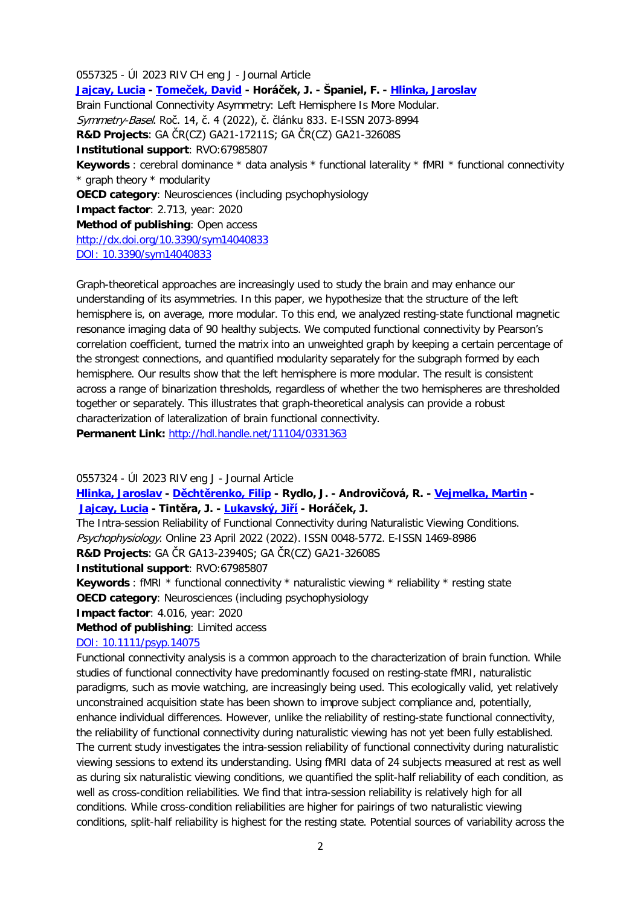0557325 - ÚI 2023 RIV CH eng J - Journal Article **[Jajcay, Lucia](https://asep-analytika.lib.cas.cz/bibliografie/asep/uivt-o/0398294) - [Tomeček, David](https://asep-analytika.lib.cas.cz/bibliografie/asep/uivt-o/0345505) - Horáček, J. - Španiel, F. - [Hlinka, Jaroslav](https://asep-analytika.lib.cas.cz/bibliografie/asep/uivt-o/0262964)** Brain Functional Connectivity Asymmetry: Left Hemisphere Is More Modular. Symmetry-Basel. Roč. 14, č. 4 (2022), č. článku 833. E-ISSN 2073-8994 **R&D Projects**: GA ČR(CZ) GA21-17211S; GA ČR(CZ) GA21-32608S **Institutional support**: RVO:67985807 **Keywords** : cerebral dominance \* data analysis \* functional laterality \* fMRI \* functional connectivity \* graph theory \* modularity **OECD category**: Neurosciences (including psychophysiology **Impact factor**: 2.713, year: 2020 **Method of publishing**: Open access [http://dx.doi.org/10.3390/sym14040833](https://asep.lib.cas.cz/arl-cav/en/gwext/?url=http%3A//dx.doi.org/10.3390/sym14040833&type=extlink) [DOI: 10.3390/sym14040833](http://dx.doi.org/10.3390/sym14040833)

Graph-theoretical approaches are increasingly used to study the brain and may enhance our understanding of its asymmetries. In this paper, we hypothesize that the structure of the left hemisphere is, on average, more modular. To this end, we analyzed resting-state functional magnetic resonance imaging data of 90 healthy subjects. We computed functional connectivity by Pearson's correlation coefficient, turned the matrix into an unweighted graph by keeping a certain percentage of the strongest connections, and quantified modularity separately for the subgraph formed by each hemisphere. Our results show that the left hemisphere is more modular. The result is consistent across a range of binarization thresholds, regardless of whether the two hemispheres are thresholded together or separately. This illustrates that graph-theoretical analysis can provide a robust characterization of lateralization of brain functional connectivity. **Permanent Link:** <http://hdl.handle.net/11104/0331363>

0557324 - ÚI 2023 RIV eng J - Journal Article

**[Hlinka, Jaroslav](https://asep-analytika.lib.cas.cz/bibliografie/asep/uivt-o/0262964) - [Děchtěrenko, Filip](https://asep-analytika.lib.cas.cz/bibliografie/asep/uivt-o/0349427) - Rydlo, J. - Androvičová, R. - [Vejmelka, Martin](https://asep-analytika.lib.cas.cz/bibliografie/asep/uivt-o/0227044) - [Jajcay, Lucia](https://asep-analytika.lib.cas.cz/bibliografie/asep/uivt-o/0398294) - Tintěra, J. - [Lukavský, Jiří](https://asep-analytika.lib.cas.cz/bibliografie/asep/psu-e/0106408) - Horáček, J.**

The Intra-session Reliability of Functional Connectivity during Naturalistic Viewing Conditions. Psychophysiology. Online 23 April 2022 (2022). ISSN 0048-5772. E-ISSN 1469-8986 **R&D Projects**: GA ČR GA13-23940S; GA ČR(CZ) GA21-32608S

**Institutional support**: RVO:67985807

**Keywords** : fMRI \* functional connectivity \* naturalistic viewing \* reliability \* resting state **OECD category**: Neurosciences (including psychophysiology

**Impact factor**: 4.016, year: 2020

**Method of publishing**: Limited access

#### [DOI: 10.1111/psyp.14075](http://dx.doi.org/10.1111/psyp.14075)

Functional connectivity analysis is a common approach to the characterization of brain function. While studies of functional connectivity have predominantly focused on resting-state fMRI, naturalistic paradigms, such as movie watching, are increasingly being used. This ecologically valid, yet relatively unconstrained acquisition state has been shown to improve subject compliance and, potentially, enhance individual differences. However, unlike the reliability of resting-state functional connectivity, the reliability of functional connectivity during naturalistic viewing has not yet been fully established. The current study investigates the intra-session reliability of functional connectivity during naturalistic viewing sessions to extend its understanding. Using fMRI data of 24 subjects measured at rest as well as during six naturalistic viewing conditions, we quantified the split-half reliability of each condition, as well as cross-condition reliabilities. We find that intra-session reliability is relatively high for all conditions. While cross-condition reliabilities are higher for pairings of two naturalistic viewing conditions, split-half reliability is highest for the resting state. Potential sources of variability across the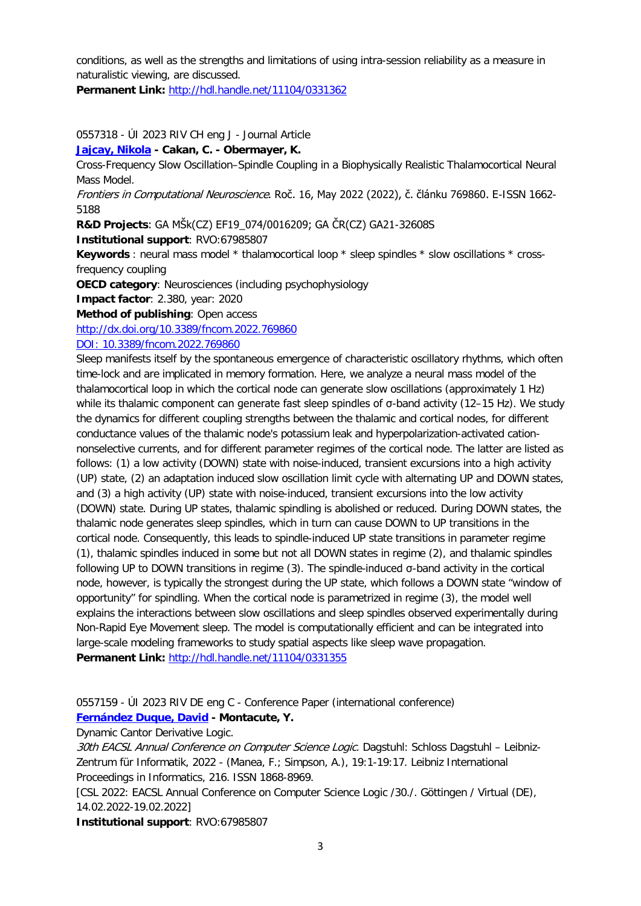conditions, as well as the strengths and limitations of using intra-session reliability as a measure in naturalistic viewing, are discussed.

**Permanent Link:** <http://hdl.handle.net/11104/0331362>

## 0557318 - ÚI 2023 RIV CH eng J - Journal Article

## **[Jajcay, Nikola](https://asep-analytika.lib.cas.cz/bibliografie/asep/uivt-o/0302721) - Cakan, C. - Obermayer, K.**

Cross-Frequency Slow Oscillation–Spindle Coupling in a Biophysically Realistic Thalamocortical Neural Mass Model.

Frontiers in Computational Neuroscience. Roč. 16, May 2022 (2022), č. článku 769860. E-ISSN 1662- 5188

**R&D Projects**: GA MŠk(CZ) EF19\_074/0016209; GA ČR(CZ) GA21-32608S

**Institutional support**: RVO:67985807

**Keywords** : neural mass model \* thalamocortical loop \* sleep spindles \* slow oscillations \* crossfrequency coupling

**OECD category**: Neurosciences (including psychophysiology

**Impact factor**: 2.380, year: 2020

**Method of publishing**: Open access

[http://dx.doi.org/10.3389/fncom.2022.769860](https://asep.lib.cas.cz/arl-cav/en/gwext/?url=http%3A//dx.doi.org/10.3389/fncom.2022.769860&type=extlink)

[DOI: 10.3389/fncom.2022.769860](http://dx.doi.org/10.3389/fncom.2022.769860)

Sleep manifests itself by the spontaneous emergence of characteristic oscillatory rhythms, which often time-lock and are implicated in memory formation. Here, we analyze a neural mass model of the thalamocortical loop in which the cortical node can generate slow oscillations (approximately 1 Hz) while its thalamic component can generate fast sleep spindles of σ-band activity (12–15 Hz). We study the dynamics for different coupling strengths between the thalamic and cortical nodes, for different conductance values of the thalamic node's potassium leak and hyperpolarization-activated cationnonselective currents, and for different parameter regimes of the cortical node. The latter are listed as follows: (1) a low activity (DOWN) state with noise-induced, transient excursions into a high activity (UP) state, (2) an adaptation induced slow oscillation limit cycle with alternating UP and DOWN states, and (3) a high activity (UP) state with noise-induced, transient excursions into the low activity (DOWN) state. During UP states, thalamic spindling is abolished or reduced. During DOWN states, the thalamic node generates sleep spindles, which in turn can cause DOWN to UP transitions in the cortical node. Consequently, this leads to spindle-induced UP state transitions in parameter regime (1), thalamic spindles induced in some but not all DOWN states in regime (2), and thalamic spindles following UP to DOWN transitions in regime (3). The spindle-induced σ-band activity in the cortical node, however, is typically the strongest during the UP state, which follows a DOWN state "window of opportunity" for spindling. When the cortical node is parametrized in regime (3), the model well explains the interactions between slow oscillations and sleep spindles observed experimentally during Non-Rapid Eye Movement sleep. The model is computationally efficient and can be integrated into large-scale modeling frameworks to study spatial aspects like sleep wave propagation. **Permanent Link:** <http://hdl.handle.net/11104/0331355>

0557159 - ÚI 2023 RIV DE eng C - Conference Paper (international conference) **[Fernández Duque, David](https://asep-analytika.lib.cas.cz/bibliografie/asep/uivt-o/0430083) - Montacute, Y.**

Dynamic Cantor Derivative Logic.

30th EACSL Annual Conference on Computer Science Logic. Dagstuhl: Schloss Dagstuhl - Leibniz-Zentrum für Informatik, 2022 - (Manea, F.; Simpson, A.), 19:1-19:17. Leibniz International Proceedings in Informatics, 216. ISSN 1868-8969.

[CSL 2022: EACSL Annual Conference on Computer Science Logic /30./. Göttingen / Virtual (DE), 14.02.2022-19.02.2022]

**Institutional support**: RVO:67985807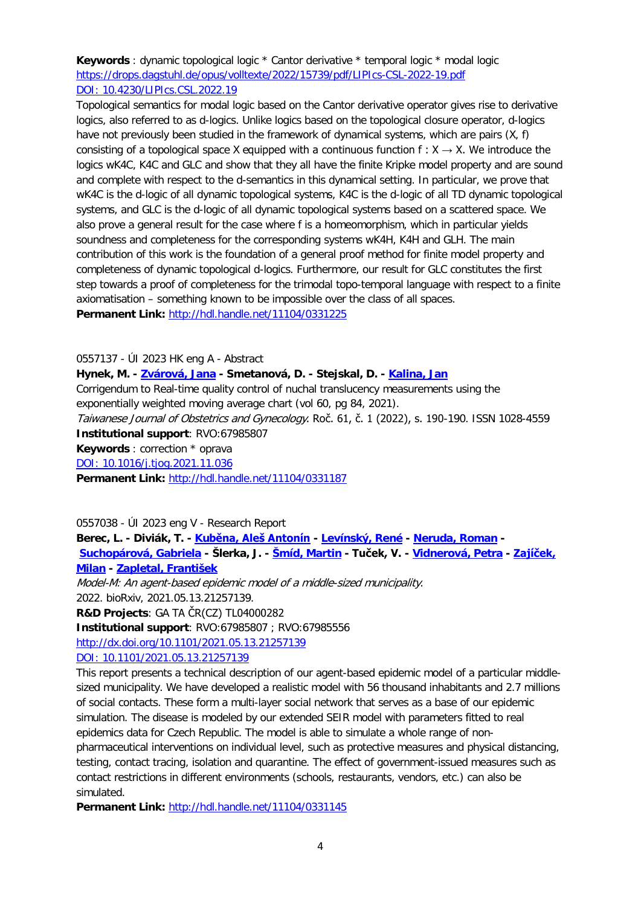**Keywords** : dynamic topological logic \* Cantor derivative \* temporal logic \* modal logic <https://drops.dagstuhl.de/opus/volltexte/2022/15739/pdf/LIPIcs-CSL-2022-19.pdf> [DOI: 10.4230/LIPIcs.CSL.2022.19](http://dx.doi.org/10.4230/LIPIcs.CSL.2022.19)

Topological semantics for modal logic based on the Cantor derivative operator gives rise to derivative logics, also referred to as d-logics. Unlike logics based on the topological closure operator, d-logics have not previously been studied in the framework of dynamical systems, which are pairs (X, f) consisting of a topological space X equipped with a continuous function  $f: X \rightarrow X$ . We introduce the logics wK4C, K4C and GLC and show that they all have the finite Kripke model property and are sound and complete with respect to the d-semantics in this dynamical setting. In particular, we prove that wK4C is the d-logic of all dynamic topological systems, K4C is the d-logic of all TD dynamic topological systems, and GLC is the d-logic of all dynamic topological systems based on a scattered space. We also prove a general result for the case where f is a homeomorphism, which in particular yields soundness and completeness for the corresponding systems wK4H, K4H and GLH. The main contribution of this work is the foundation of a general proof method for finite model property and completeness of dynamic topological d-logics. Furthermore, our result for GLC constitutes the first step towards a proof of completeness for the trimodal topo-temporal language with respect to a finite axiomatisation – something known to be impossible over the class of all spaces. **Permanent Link:** <http://hdl.handle.net/11104/0331225>

0557137 - ÚI 2023 HK eng A - Abstract

**Hynek, M. - [Zvárová, Jana](https://asep-analytika.lib.cas.cz/bibliografie/asep/uivt-o/0100863) - Smetanová, D. - Stejskal, D. - [Kalina, Jan](https://asep-analytika.lib.cas.cz/bibliografie/asep/uivt-o/0263018)**

Corrigendum to Real-time quality control of nuchal translucency measurements using the exponentially weighted moving average chart (vol 60, pg 84, 2021).

Taiwanese Journal of Obstetrics and Gynecology. Roč. 61, č. 1 (2022), s. 190-190. ISSN 1028-4559 **Institutional support**: RVO:67985807

**Keywords** : correction \* oprava

[DOI: 10.1016/j.tjog.2021.11.036](http://dx.doi.org/10.1016/j.tjog.2021.11.036)

**Permanent Link:** <http://hdl.handle.net/11104/0331187>

0557038 - ÚI 2023 eng V - Research Report

**Berec, L. - Diviák, T. - Ku[běna, Aleš Antonín](https://asep-analytika.lib.cas.cz/bibliografie/asep/utia-b/0264564) - [Levínský, René](https://asep-analytika.lib.cas.cz/bibliografie/asep/nhu-n/0106308) - [Neruda, Roman](https://asep-analytika.lib.cas.cz/bibliografie/asep/uivt-o/0100794) - [Suchopárová, Gabriela](https://asep-analytika.lib.cas.cz/bibliografie/asep/uivt-o/0402629) - Šlerka, J. - [Šmíd, Martin](https://asep-analytika.lib.cas.cz/bibliografie/asep/utia-b/0101206) - Tuček, V. - [Vidnerová, Petra](https://asep-analytika.lib.cas.cz/bibliografie/asep/uivt-o/0231277) - [Zajíček,](https://asep-analytika.lib.cas.cz/bibliografie/asep/utia-b/0237467)  [Milan](https://asep-analytika.lib.cas.cz/bibliografie/asep/utia-b/0237467) - [Zapletal, František](https://asep-analytika.lib.cas.cz/bibliografie/asep/utia-b/0417211)**

Model-M: An agent-based epidemic model of a middle-sized municipality. 2022. bioRxiv, 2021.05.13.21257139.

**R&D Projects**: GA TA ČR(CZ) TL04000282

**Institutional support**: RVO:67985807 ; RVO:67985556

[http://dx.doi.org/10.1101/2021.05.13.21257139](https://asep.lib.cas.cz/arl-cav/en/gwext/?url=http%3A//dx.doi.org/10.1101/2021.05.13.21257139&type=extlink)

[DOI: 10.1101/2021.05.13.21257139](http://dx.doi.org/10.1101/2021.05.13.21257139)

This report presents a technical description of our agent-based epidemic model of a particular middlesized municipality. We have developed a realistic model with 56 thousand inhabitants and 2.7 millions of social contacts. These form a multi-layer social network that serves as a base of our epidemic simulation. The disease is modeled by our extended SEIR model with parameters fitted to real epidemics data for Czech Republic. The model is able to simulate a whole range of nonpharmaceutical interventions on individual level, such as protective measures and physical distancing, testing, contact tracing, isolation and quarantine. The effect of government-issued measures such as contact restrictions in different environments (schools, restaurants, vendors, etc.) can also be simulated.

**Permanent Link:** <http://hdl.handle.net/11104/0331145>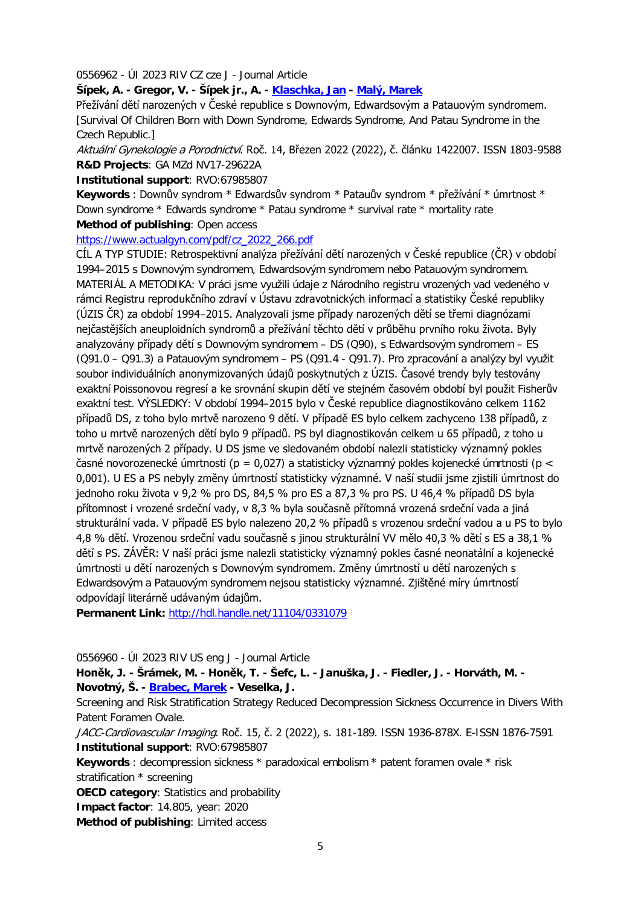0556962 - ÚI 2023 RIV CZ cze J - Journal Article

**Šípek, A. - Gregor, V. - Šípek jr., A. - [Klaschka, Jan](https://asep-analytika.lib.cas.cz/bibliografie/asep/uivt-o/0100773) - [Malý, Marek](https://asep-analytika.lib.cas.cz/bibliografie/asep/uivt-o/0100868)**

Přežívání dětí narozených v České republice s Downovým, Edwardsovým a Patauovým syndromem. [Survival Of Children Born with Down Syndrome, Edwards Syndrome, And Patau Syndrome in the Czech Republic.]

Aktuální Gynekologie a Porodnictví. Roč. 14, Březen 2022 (2022), č. článku 1422007. ISSN 1803-9588 **R&D Projects**: GA MZd NV17-29622A

**Institutional support**: RVO:67985807

**Keywords** : Downův syndrom \* Edwardsův syndrom \* Patauův syndrom \* přežívání \* úmrtnost \* Down syndrome \* Edwards syndrome \* Patau syndrome \* survival rate \* mortality rate **Method of publishing**: Open access

[https://www.actualgyn.com/pdf/cz\\_2022\\_266.pdf](https://www.actualgyn.com/pdf/cz_2022_266.pdf)

CÍL A TYP STUDIE: Retrospektivní analýza přežívání dětí narozených v České republice (ČR) v období 1994–2015 s Downovým syndromem, Edwardsovým syndromem nebo Patauovým syndromem. MATERIÁL A METODIKA: V práci jsme využili údaje z Národního registru vrozených vad vedeného v rámci Registru reprodukčního zdraví v Ústavu zdravotnických informací a statistiky České republiky (ÚZIS ČR) za období 1994–2015. Analyzovali jsme případy narozených dětí se třemi diagnózami nejčastějších aneuploidních syndromů a přežívání těchto dětí v průběhu prvního roku života. Byly analyzovány případy dětí s Downovým syndromem – DS (Q90), s Edwardsovým syndromem – ES (Q91.0 – Q91.3) a Patauovým syndromem – PS (Q91.4 - Q91.7). Pro zpracování a analýzy byl využit soubor individuálních anonymizovaných údajů poskytnutých z ÚZIS. Časové trendy byly testovány exaktní Poissonovou regresí a ke srovnání skupin dětí ve stejném časovém období byl použit Fisherův exaktní test. VÝSLEDKY: V období 1994–2015 bylo v České republice diagnostikováno celkem 1162 případů DS, z toho bylo mrtvě narozeno 9 dětí. V případě ES bylo celkem zachyceno 138 případů, z toho u mrtvě narozených dětí bylo 9 případů. PS byl diagnostikován celkem u 65 případů, z toho u mrtvě narozených 2 případy. U DS jsme ve sledovaném období nalezli statisticky významný pokles časné novorozenecké úmrtnosti (p = 0,027) a statisticky významný pokles kojenecké úmrtnosti (p < 0,001). U ES a PS nebyly změny úmrtností statisticky významné. V naší studii jsme zjistili úmrtnost do jednoho roku života v 9,2 % pro DS, 84,5 % pro ES a 87,3 % pro PS. U 46,4 % případů DS byla přítomnost i vrozené srdeční vady, v 8,3 % byla současně přítomná vrozená srdeční vada a jiná strukturální vada. V případě ES bylo nalezeno 20,2 % případů s vrozenou srdeční vadou a u PS to bylo 4,8 % dětí. Vrozenou srdeční vadu současně s jinou strukturální VV mělo 40,3 % dětí s ES a 38,1 % dětí s PS. ZÁVĚR: V naší práci jsme nalezli statisticky významný pokles časné neonatální a kojenecké úmrtnosti u dětí narozených s Downovým syndromem. Změny úmrtností u dětí narozených s Edwardsovým a Patauovým syndromem nejsou statisticky významné. Zjištěné míry úmrtností odpovídají literárně udávaným údajům.

**Permanent Link:** <http://hdl.handle.net/11104/0331079>

0556960 - ÚI 2023 RIV US eng J - Journal Article

**Honěk, J. - Šrámek, M. - Honěk, T. - Šefc, L. - Januška, J. - Fiedler, J. - Horváth, M. - Novotný, Š. - [Brabec, Marek](https://asep-analytika.lib.cas.cz/bibliografie/asep/uivt-o/0208555) - Veselka, J.**

Screening and Risk Stratification Strategy Reduced Decompression Sickness Occurrence in Divers With Patent Foramen Ovale.

JACC-Cardiovascular Imaging. Roč. 15, č. 2 (2022), s. 181-189. ISSN 1936-878X. E-ISSN 1876-7591 **Institutional support**: RVO:67985807

**Keywords** : decompression sickness \* paradoxical embolism \* patent foramen ovale \* risk stratification \* screening

**OECD category**: Statistics and probability

**Impact factor**: 14.805, year: 2020

**Method of publishing**: Limited access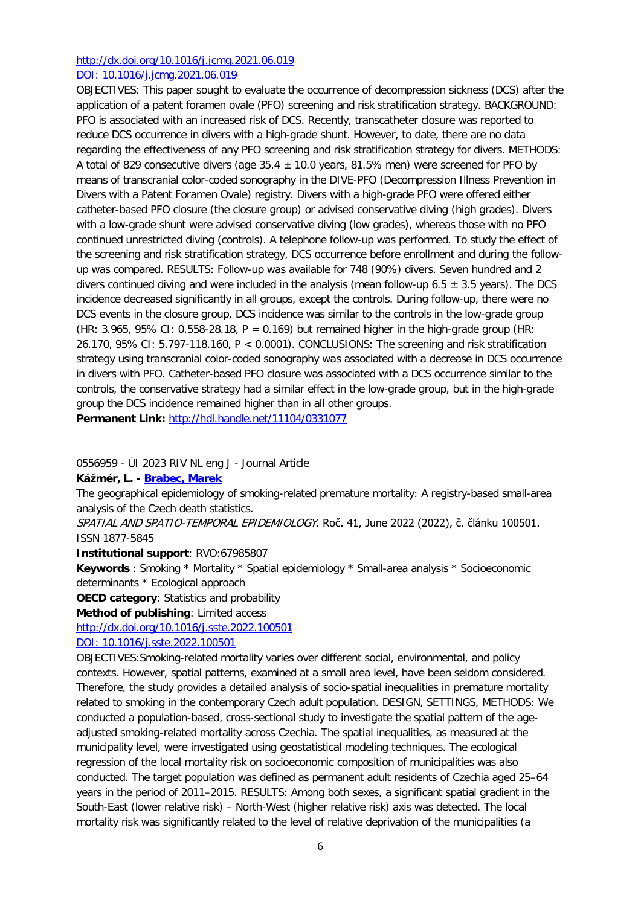## [http://dx.doi.org/10.1016/j.jcmg.2021.06.019](https://asep.lib.cas.cz/arl-cav/en/gwext/?url=http%3A//dx.doi.org/10.1016/j.jcmg.2021.06.019&type=extlink) [DOI: 10.1016/j.jcmg.2021.06.019](http://dx.doi.org/10.1016/j.jcmg.2021.06.019)

OBJECTIVES: This paper sought to evaluate the occurrence of decompression sickness (DCS) after the application of a patent foramen ovale (PFO) screening and risk stratification strategy. BACKGROUND: PFO is associated with an increased risk of DCS. Recently, transcatheter closure was reported to reduce DCS occurrence in divers with a high-grade shunt. However, to date, there are no data regarding the effectiveness of any PFO screening and risk stratification strategy for divers. METHODS: A total of 829 consecutive divers (age  $35.4 \pm 10.0$  years, 81.5% men) were screened for PFO by means of transcranial color-coded sonography in the DIVE-PFO (Decompression Illness Prevention in Divers with a Patent Foramen Ovale) registry. Divers with a high-grade PFO were offered either catheter-based PFO closure (the closure group) or advised conservative diving (high grades). Divers with a low-grade shunt were advised conservative diving (low grades), whereas those with no PFO continued unrestricted diving (controls). A telephone follow-up was performed. To study the effect of the screening and risk stratification strategy, DCS occurrence before enrollment and during the followup was compared. RESULTS: Follow-up was available for 748 (90%) divers. Seven hundred and 2 divers continued diving and were included in the analysis (mean follow-up 6.5  $\pm$  3.5 years). The DCS incidence decreased significantly in all groups, except the controls. During follow-up, there were no DCS events in the closure group, DCS incidence was similar to the controls in the low-grade group (HR:  $3.965$ ,  $95\%$  CI: 0.558-28.18, P = 0.169) but remained higher in the high-grade group (HR: 26.170, 95% CI: 5.797-118.160, P < 0.0001). CONCLUSIONS: The screening and risk stratification strategy using transcranial color-coded sonography was associated with a decrease in DCS occurrence in divers with PFO. Catheter-based PFO closure was associated with a DCS occurrence similar to the controls, the conservative strategy had a similar effect in the low-grade group, but in the high-grade group the DCS incidence remained higher than in all other groups.

**Permanent Link:** <http://hdl.handle.net/11104/0331077>

0556959 - ÚI 2023 RIV NL eng J - Journal Article

#### **Kážmér, L. - [Brabec, Marek](https://asep-analytika.lib.cas.cz/bibliografie/asep/uivt-o/0208555)**

The geographical epidemiology of smoking-related premature mortality: A registry-based small-area analysis of the Czech death statistics.

SPATIAL AND SPATIO-TEMPORAL EPIDEMIOLOGY. Roč. 41, June 2022 (2022), č. článku 100501. ISSN 1877-5845

#### **Institutional support**: RVO:67985807

**Keywords** : Smoking \* Mortality \* Spatial epidemiology \* Small-area analysis \* Socioeconomic determinants \* Ecological approach

**OECD category**: Statistics and probability

**Method of publishing**: Limited access

[http://dx.doi.org/10.1016/j.sste.2022.100501](https://asep.lib.cas.cz/arl-cav/en/gwext/?url=http%3A//dx.doi.org/10.1016/j.sste.2022.100501&type=extlink)

[DOI: 10.1016/j.sste.2022.100501](http://dx.doi.org/10.1016/j.sste.2022.100501)

OBJECTIVES:Smoking-related mortality varies over different social, environmental, and policy contexts. However, spatial patterns, examined at a small area level, have been seldom considered. Therefore, the study provides a detailed analysis of socio-spatial inequalities in premature mortality related to smoking in the contemporary Czech adult population. DESIGN, SETTINGS, METHODS: We conducted a population-based, cross-sectional study to investigate the spatial pattern of the ageadjusted smoking-related mortality across Czechia. The spatial inequalities, as measured at the municipality level, were investigated using geostatistical modeling techniques. The ecological regression of the local mortality risk on socioeconomic composition of municipalities was also conducted. The target population was defined as permanent adult residents of Czechia aged 25–64 years in the period of 2011–2015. RESULTS: Among both sexes, a significant spatial gradient in the South-East (lower relative risk) – North-West (higher relative risk) axis was detected. The local mortality risk was significantly related to the level of relative deprivation of the municipalities (a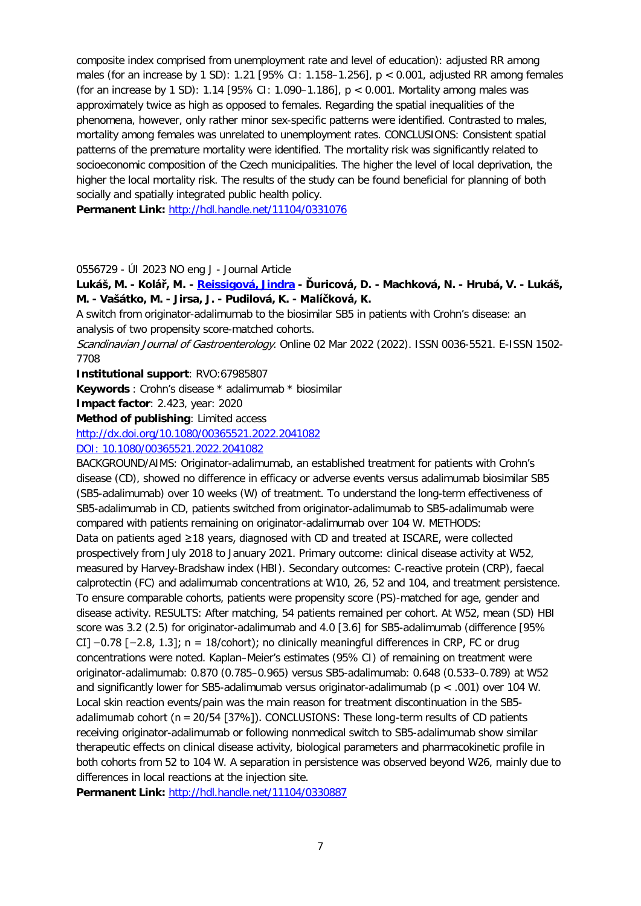composite index comprised from unemployment rate and level of education): adjusted RR among males (for an increase by 1 SD): 1.21 [95% CI: 1.158–1.256],  $p < 0.001$ , adjusted RR among females (for an increase by 1 SD): 1.14 [95% CI: 1.090-1.186],  $p < 0.001$ . Mortality among males was approximately twice as high as opposed to females. Regarding the spatial inequalities of the phenomena, however, only rather minor sex-specific patterns were identified. Contrasted to males, mortality among females was unrelated to unemployment rates. CONCLUSIONS: Consistent spatial patterns of the premature mortality were identified. The mortality risk was significantly related to socioeconomic composition of the Czech municipalities. The higher the level of local deprivation, the higher the local mortality risk. The results of the study can be found beneficial for planning of both socially and spatially integrated public health policy.

**Permanent Link:** <http://hdl.handle.net/11104/0331076>

## 0556729 - ÚI 2023 NO eng J - Journal Article

**Lukáš, M. - Kolář, M. - [Reissigová, Jindra](https://asep-analytika.lib.cas.cz/bibliografie/asep/uivt-o/0100815) - Ďuricová, D. - Machková, N. - Hrubá, V. - Lukáš, M. - Vašátko, M. - Jirsa, J. - Pudilová, K. - Malíčková, K.**

A switch from originator-adalimumab to the biosimilar SB5 in patients with Crohn's disease: an analysis of two propensity score-matched cohorts.

Scandinavian Journal of Gastroenterology. Online 02 Mar 2022 (2022). ISSN 0036-5521. E-ISSN 1502-7708

**Institutional support**: RVO:67985807

**Keywords** : Crohn's disease \* adalimumab \* biosimilar

**Impact factor**: 2.423, year: 2020

**Method of publishing**: Limited access

[http://dx.doi.org/10.1080/00365521.2022.2041082](https://asep.lib.cas.cz/arl-cav/en/gwext/?url=http%3A//dx.doi.org/10.1080/00365521.2022.2041082&type=extlink)

#### [DOI: 10.1080/00365521.2022.2041082](http://dx.doi.org/10.1080/00365521.2022.2041082)

BACKGROUND/AIMS: Originator-adalimumab, an established treatment for patients with Crohn's disease (CD), showed no difference in efficacy or adverse events versus adalimumab biosimilar SB5 (SB5-adalimumab) over 10 weeks (W) of treatment. To understand the long-term effectiveness of SB5-adalimumab in CD, patients switched from originator-adalimumab to SB5-adalimumab were compared with patients remaining on originator-adalimumab over 104 W. METHODS: Data on patients aged ≥18 years, diagnosed with CD and treated at ISCARE, were collected prospectively from July 2018 to January 2021. Primary outcome: clinical disease activity at W52, measured by Harvey-Bradshaw index (HBI). Secondary outcomes: C-reactive protein (CRP), faecal calprotectin (FC) and adalimumab concentrations at W10, 26, 52 and 104, and treatment persistence. To ensure comparable cohorts, patients were propensity score (PS)-matched for age, gender and disease activity. RESULTS: After matching, 54 patients remained per cohort. At W52, mean (SD) HBI score was 3.2 (2.5) for originator-adalimumab and 4.0 [3.6] for SB5-adalimumab (difference [95% CI] −0.78 [−2.8, 1.3]; n = 18/cohort); no clinically meaningful differences in CRP, FC or drug concentrations were noted. Kaplan–Meier's estimates (95% CI) of remaining on treatment were originator-adalimumab: 0.870 (0.785–0.965) versus SB5-adalimumab: 0.648 (0.533–0.789) at W52 and significantly lower for SB5-adalimumab versus originator-adalimumab (p < .001) over 104 W. Local skin reaction events/pain was the main reason for treatment discontinuation in the SB5 adalimumab cohort (n = 20/54 [37%]). CONCLUSIONS: These long-term results of CD patients receiving originator-adalimumab or following nonmedical switch to SB5-adalimumab show similar therapeutic effects on clinical disease activity, biological parameters and pharmacokinetic profile in both cohorts from 52 to 104 W. A separation in persistence was observed beyond W26, mainly due to differences in local reactions at the injection site.

Permanent Link: <http://hdl.handle.net/11104/0330887>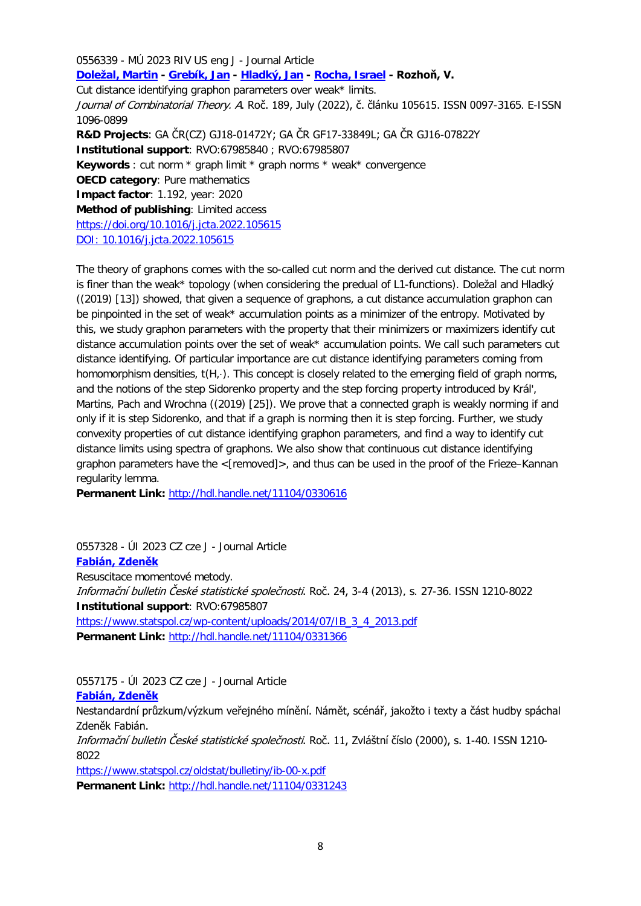0556339 - MÚ 2023 RIV US eng J - Journal Article **[Doležal, Martin](https://asep-analytika.lib.cas.cz/bibliografie/asep/mu-w/0315245) - [Grebík, Jan](https://asep-analytika.lib.cas.cz/bibliografie/asep/mu-w/0335211) - [Hladký, Jan](https://asep-analytika.lib.cas.cz/bibliografie/asep/uivt-o/0345511) - [Rocha, Israel](https://asep-analytika.lib.cas.cz/bibliografie/asep/uivt-o/0348875) - Rozhoň, V.** Cut distance identifying graphon parameters over weak\* limits. Journal of Combinatorial Theory. A. Roč. 189, July (2022), č. článku 105615. ISSN 0097-3165. E-ISSN 1096-0899 **R&D Projects**: GA ČR(CZ) GJ18-01472Y; GA ČR GF17-33849L; GA ČR GJ16-07822Y **Institutional support**: RVO:67985840 ; RVO:67985807 **Keywords** : cut norm \* graph limit \* graph norms \* weak\* convergence **OECD category**: Pure mathematics **Impact factor**: 1.192, year: 2020 **Method of publishing**: Limited access [https://doi.org/10.1016/j.jcta.2022.105615](https://asep.lib.cas.cz/arl-cav/en/gwext/?url=https%3A//doi.org/10.1016/j.jcta.2022.105615&type=extlink) [DOI: 10.1016/j.jcta.2022.105615](http://dx.doi.org/10.1016/j.jcta.2022.105615)

The theory of graphons comes with the so-called cut norm and the derived cut distance. The cut norm is finer than the weak\* topology (when considering the predual of L1-functions). Doležal and Hladký ((2019) [13]) showed, that given a sequence of graphons, a cut distance accumulation graphon can be pinpointed in the set of weak\* accumulation points as a minimizer of the entropy. Motivated by this, we study graphon parameters with the property that their minimizers or maximizers identify cut distance accumulation points over the set of weak\* accumulation points. We call such parameters cut distance identifying. Of particular importance are cut distance identifying parameters coming from homomorphism densities, t(H,⋅). This concept is closely related to the emerging field of graph norms, and the notions of the step Sidorenko property and the step forcing property introduced by Král', Martins, Pach and Wrochna ((2019) [25]). We prove that a connected graph is weakly norming if and only if it is step Sidorenko, and that if a graph is norming then it is step forcing. Further, we study convexity properties of cut distance identifying graphon parameters, and find a way to identify cut distance limits using spectra of graphons. We also show that continuous cut distance identifying graphon parameters have the <[removed]>, and thus can be used in the proof of the Frieze–Kannan regularity lemma.

**Permanent Link:** <http://hdl.handle.net/11104/0330616>

0557328 - ÚI 2023 CZ cze J - Journal Article **[Fabián, Zdeněk](https://asep-analytika.lib.cas.cz/bibliografie/asep/uivt-o/0100747)**

Resuscitace momentové metody. Informační bulletin České statistické společnosti. Roč. 24, 3-4 (2013), s. 27-36. ISSN 1210-8022 **Institutional support**: RVO:67985807 [https://www.statspol.cz/wp-content/uploads/2014/07/IB\\_3\\_4\\_2013.pdf](https://www.statspol.cz/wp-content/uploads/2014/07/IB_3_4_2013.pdf) **Permanent Link:** <http://hdl.handle.net/11104/0331366>

0557175 - ÚI 2023 CZ cze J - Journal Article

#### **[Fabián, Zdeněk](https://asep-analytika.lib.cas.cz/bibliografie/asep/uivt-o/0100747)**

Nestandardní průzkum/výzkum veřejného mínění. Námět, scénář, jakožto i texty a část hudby spáchal Zdeněk Fabián.

Informační bulletin České statistické společnosti. Roč. 11, Zvláštní číslo (2000), s. 1-40. ISSN 1210-8022

<https://www.statspol.cz/oldstat/bulletiny/ib-00-x.pdf>

**Permanent Link:** <http://hdl.handle.net/11104/0331243>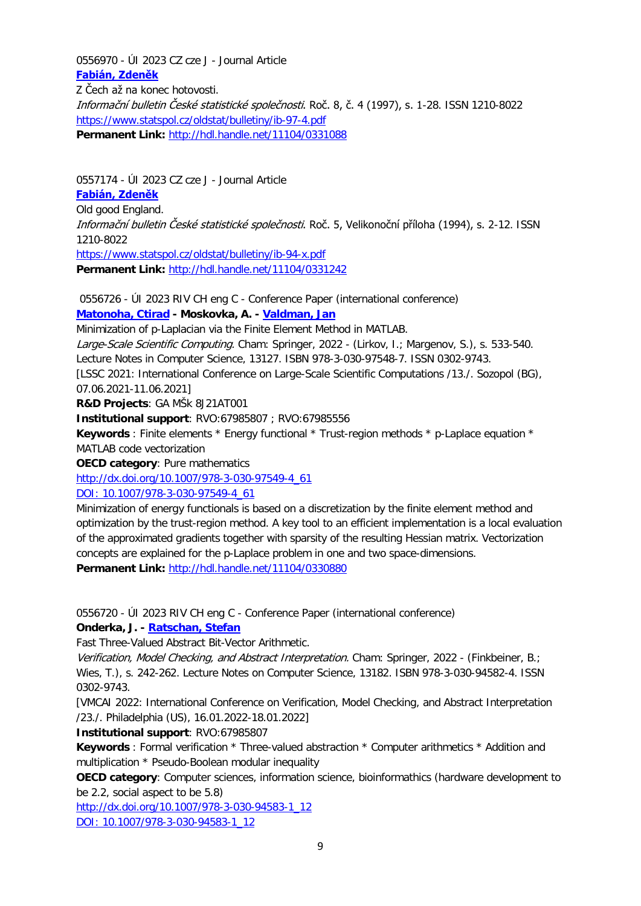0556970 - ÚI 2023 CZ cze J - Journal Article **[Fabián, Zdeněk](https://asep-analytika.lib.cas.cz/bibliografie/asep/uivt-o/0100747)** Z Čech až na konec hotovosti. Informační bulletin České statistické společnosti. Roč. 8, č. 4 (1997), s. 1-28. ISSN 1210-8022 <https://www.statspol.cz/oldstat/bulletiny/ib-97-4.pdf> Permanent Link: <http://hdl.handle.net/11104/0331088>

0557174 - ÚI 2023 CZ cze J - Journal Article

## **[Fabián, Zdeněk](https://asep-analytika.lib.cas.cz/bibliografie/asep/uivt-o/0100747)**

Old good England. Informační bulletin České statistické společnosti. Roč. 5, Velikonoční příloha (1994), s. 2-12. ISSN 1210-8022 <https://www.statspol.cz/oldstat/bulletiny/ib-94-x.pdf> **Permanent Link:** <http://hdl.handle.net/11104/0331242>

0556726 - ÚI 2023 RIV CH eng C - Conference Paper (international conference) **[Matonoha, Ctirad](https://asep-analytika.lib.cas.cz/bibliografie/asep/uivt-o/0100790) - Moskovka, A. - [Valdman, Jan](https://asep-analytika.lib.cas.cz/bibliografie/asep/utia-b/0292941)**

Minimization of p-Laplacian via the Finite Element Method in MATLAB.

Large-Scale Scientific Computing. Cham: Springer, 2022 - (Lirkov, I.; Margenov, S.), s. 533-540.

Lecture Notes in Computer Science, 13127. ISBN 978-3-030-97548-7. ISSN 0302-9743.

[LSSC 2021: International Conference on Large-Scale Scientific Computations /13./. Sozopol (BG), 07.06.2021-11.06.2021]

**R&D Projects**: GA MŠk 8J21AT001

**Institutional support**: RVO:67985807 ; RVO:67985556

**Keywords** : Finite elements \* Energy functional \* Trust-region methods \* p-Laplace equation \* MATLAB code vectorization

**OECD category**: Pure mathematics

[http://dx.doi.org/10.1007/978-3-030-97549-4\\_61](https://asep.lib.cas.cz/arl-cav/en/gwext/?url=http%3A//dx.doi.org/10.1007/978-3-030-97549-4_61&type=extlink)

[DOI: 10.1007/978-3-030-97549-4\\_61](http://dx.doi.org/10.1007/978-3-030-97549-4_61)

Minimization of energy functionals is based on a discretization by the finite element method and optimization by the trust-region method. A key tool to an efficient implementation is a local evaluation of the approximated gradients together with sparsity of the resulting Hessian matrix. Vectorization concepts are explained for the p-Laplace problem in one and two space-dimensions. **Permanent Link:** <http://hdl.handle.net/11104/0330880>

0556720 - ÚI 2023 RIV CH eng C - Conference Paper (international conference)

**Onderka, J. - [Ratschan, Stefan](https://asep-analytika.lib.cas.cz/bibliografie/asep/uivt-o/0218448)**

Fast Three-Valued Abstract Bit-Vector Arithmetic.

Verification, Model Checking, and Abstract Interpretation. Cham: Springer, 2022 - (Finkbeiner, B.; Wies, T.), s. 242-262. Lecture Notes on Computer Science, 13182. ISBN 978-3-030-94582-4. ISSN 0302-9743.

[VMCAI 2022: International Conference on Verification, Model Checking, and Abstract Interpretation /23./. Philadelphia (US), 16.01.2022-18.01.2022]

**Institutional support**: RVO:67985807

**Keywords** : Formal verification \* Three-valued abstraction \* Computer arithmetics \* Addition and multiplication \* Pseudo-Boolean modular inequality

**OECD category**: Computer sciences, information science, bioinformathics (hardware development to be 2.2, social aspect to be 5.8)

[http://dx.doi.org/10.1007/978-3-030-94583-1\\_12](https://asep.lib.cas.cz/arl-cav/en/gwext/?url=http%3A//dx.doi.org/10.1007/978-3-030-94583-1_12&type=extlink)

[DOI: 10.1007/978-3-030-94583-1\\_12](http://dx.doi.org/10.1007/978-3-030-94583-1_12)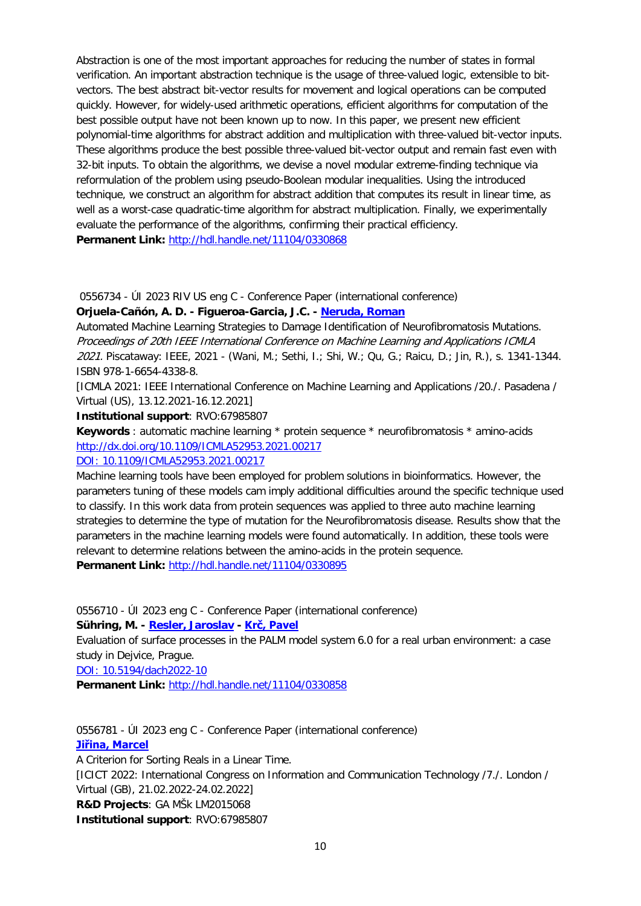Abstraction is one of the most important approaches for reducing the number of states in formal verification. An important abstraction technique is the usage of three-valued logic, extensible to bitvectors. The best abstract bit-vector results for movement and logical operations can be computed quickly. However, for widely-used arithmetic operations, efficient algorithms for computation of the best possible output have not been known up to now. In this paper, we present new efficient polynomial-time algorithms for abstract addition and multiplication with three-valued bit-vector inputs. These algorithms produce the best possible three-valued bit-vector output and remain fast even with 32-bit inputs. To obtain the algorithms, we devise a novel modular extreme-finding technique via reformulation of the problem using pseudo-Boolean modular inequalities. Using the introduced technique, we construct an algorithm for abstract addition that computes its result in linear time, as well as a worst-case quadratic-time algorithm for abstract multiplication. Finally, we experimentally evaluate the performance of the algorithms, confirming their practical efficiency. Permanent Link: <http://hdl.handle.net/11104/0330868>

0556734 - ÚI 2023 RIV US eng C - Conference Paper (international conference)

#### **Orjuela-Cañón, A. D. - Figueroa-Garcia, J.C. - [Neruda, Roman](https://asep-analytika.lib.cas.cz/bibliografie/asep/uivt-o/0100794)**

Automated Machine Learning Strategies to Damage Identification of Neurofibromatosis Mutations. Proceedings of 20th IEEE International Conference on Machine Learning and Applications ICMLA 2021. Piscataway: IEEE, 2021 - (Wani, M.; Sethi, I.; Shi, W.; Qu, G.; Raicu, D.; Jin, R.), s. 1341-1344. ISBN 978-1-6654-4338-8.

[ICMLA 2021: IEEE International Conference on Machine Learning and Applications /20./. Pasadena / Virtual (US), 13.12.2021-16.12.2021]

**Institutional support**: RVO:67985807

**Keywords** : automatic machine learning \* protein sequence \* neurofibromatosis \* amino-acids [http://dx.doi.org/10.1109/ICMLA52953.2021.00217](https://asep.lib.cas.cz/arl-cav/en/gwext/?url=http%3A//dx.doi.org/10.1109/ICMLA52953.2021.00217&type=extlink)

#### [DOI: 10.1109/ICMLA52953.2021.00217](http://dx.doi.org/10.1109/ICMLA52953.2021.00217)

Machine learning tools have been employed for problem solutions in bioinformatics. However, the parameters tuning of these models cam imply additional difficulties around the specific technique used to classify. In this work data from protein sequences was applied to three auto machine learning strategies to determine the type of mutation for the Neurofibromatosis disease. Results show that the parameters in the machine learning models were found automatically. In addition, these tools were relevant to determine relations between the amino-acids in the protein sequence. **Permanent Link:** <http://hdl.handle.net/11104/0330895>

0556710 - ÚI 2023 eng C - Conference Paper (international conference)

#### **Sühring, M. - [Resler, Jaroslav](https://asep-analytika.lib.cas.cz/bibliografie/asep/uivt-o/0209045) - [Krč, Pavel](https://asep-analytika.lib.cas.cz/bibliografie/asep/uivt-o/0246786)**

Evaluation of surface processes in the PALM model system 6.0 for a real urban environment: a case study in Dejvice, Prague.

[DOI: 10.5194/dach2022-10](http://dx.doi.org/10.5194/dach2022-10)

**Permanent Link:** <http://hdl.handle.net/11104/0330858>

0556781 - ÚI 2023 eng C - Conference Paper (international conference) **[Jiřina, Marcel](https://asep-analytika.lib.cas.cz/bibliografie/asep/uivt-o/0100769)** A Criterion for Sorting Reals in a Linear Time. [ICICT 2022: International Congress on Information and Communication Technology /7./. London / Virtual (GB), 21.02.2022-24.02.2022] **R&D Projects**: GA MŠk LM2015068 **Institutional support**: RVO:67985807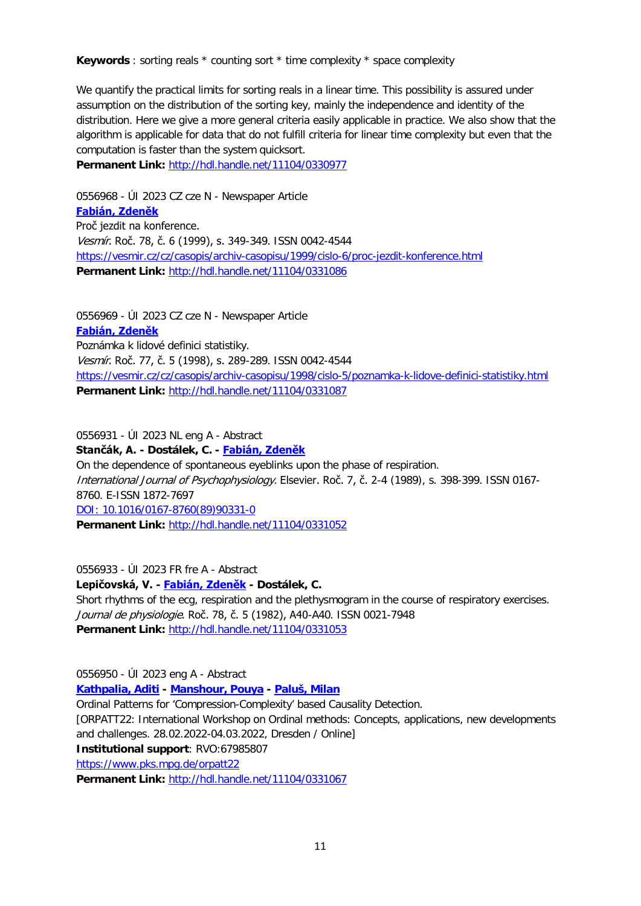**Keywords** : sorting reals \* counting sort \* time complexity \* space complexity

We quantify the practical limits for sorting reals in a linear time. This possibility is assured under assumption on the distribution of the sorting key, mainly the independence and identity of the distribution. Here we give a more general criteria easily applicable in practice. We also show that the algorithm is applicable for data that do not fulfill criteria for linear time complexity but even that the computation is faster than the system quicksort.

**Permanent Link:** <http://hdl.handle.net/11104/0330977>

0556968 - ÚI 2023 CZ cze N - Newspaper Article **[Fabián, Zdeněk](https://asep-analytika.lib.cas.cz/bibliografie/asep/uivt-o/0100747)** Proč jezdit na konference. Vesmír. Roč. 78, č. 6 (1999), s. 349-349. ISSN 0042-4544 [https://vesmir.cz/cz/casopis/archiv-casopisu/1999/cislo-6/proc-jezdit-konference.html](https://asep.lib.cas.cz/arl-cav/en/gwext/?url=https%3A//vesmir.cz/cz/casopis/archiv-casopisu/1999/cislo-6/proc-jezdit-konference.html&type=extlink) **Permanent Link:** <http://hdl.handle.net/11104/0331086>

0556969 - ÚI 2023 CZ cze N - Newspaper Article **[Fabián, Zdeněk](https://asep-analytika.lib.cas.cz/bibliografie/asep/uivt-o/0100747)** Poznámka k lidové definici statistiky. Vesmír. Roč. 77, č. 5 (1998), s. 289-289. ISSN 0042-4544 [https://vesmir.cz/cz/casopis/archiv-casopisu/1998/cislo-5/poznamka-k-lidove-definici-statistiky.html](https://asep.lib.cas.cz/arl-cav/en/gwext/?url=https%3A//vesmir.cz/cz/casopis/archiv-casopisu/1998/cislo-5/poznamka-k-lidove-definici-statistiky.html&type=extlink) **Permanent Link:** <http://hdl.handle.net/11104/0331087>

0556931 - ÚI 2023 NL eng A - Abstract

**Stančák, A. - Dostálek, C. - [Fabián, Zdeněk](https://asep-analytika.lib.cas.cz/bibliografie/asep/uivt-o/0100747)**

On the dependence of spontaneous eyeblinks upon the phase of respiration. International Journal of Psychophysiology. Elsevier. Roč. 7, č. 2-4 (1989), s. 398-399. ISSN 0167- 8760. E-ISSN 1872-7697 [DOI: 10.1016/0167-8760\(89\)90331-0](http://dx.doi.org/10.1016/0167-8760(89)90331-0) **Permanent Link:** <http://hdl.handle.net/11104/0331052>

0556933 - ÚI 2023 FR fre A - Abstract

**Lepičovská, V. - [Fabián, Zdeněk](https://asep-analytika.lib.cas.cz/bibliografie/asep/uivt-o/0100747) - Dostálek, C.** Short rhythms of the ecg, respiration and the plethysmogram in the course of respiratory exercises. Journal de physiologie. Roč. 78, č. 5 (1982), A40-A40. ISSN 0021-7948 **Permanent Link:** <http://hdl.handle.net/11104/0331053>

0556950 - ÚI 2023 eng A - Abstract

**[Kathpalia, Aditi](https://asep-analytika.lib.cas.cz/bibliografie/asep/uivt-o/0408492) - [Manshour, Pouya](https://asep-analytika.lib.cas.cz/bibliografie/asep/uivt-o/0409861) - [Paluš, Milan](https://asep-analytika.lib.cas.cz/bibliografie/asep/uivt-o/0100800)**

Ordinal Patterns for 'Compression-Complexity' based Causality Detection.

[ORPATT22: International Workshop on Ordinal methods: Concepts, applications, new developments and challenges. 28.02.2022-04.03.2022, Dresden / Online]

**Institutional support**: RVO:67985807

[https://www.pks.mpg.de/orpatt22](https://asep.lib.cas.cz/arl-cav/en/gwext/?url=https%3A//www.pks.mpg.de/orpatt22&type=extlink)

**Permanent Link:** <http://hdl.handle.net/11104/0331067>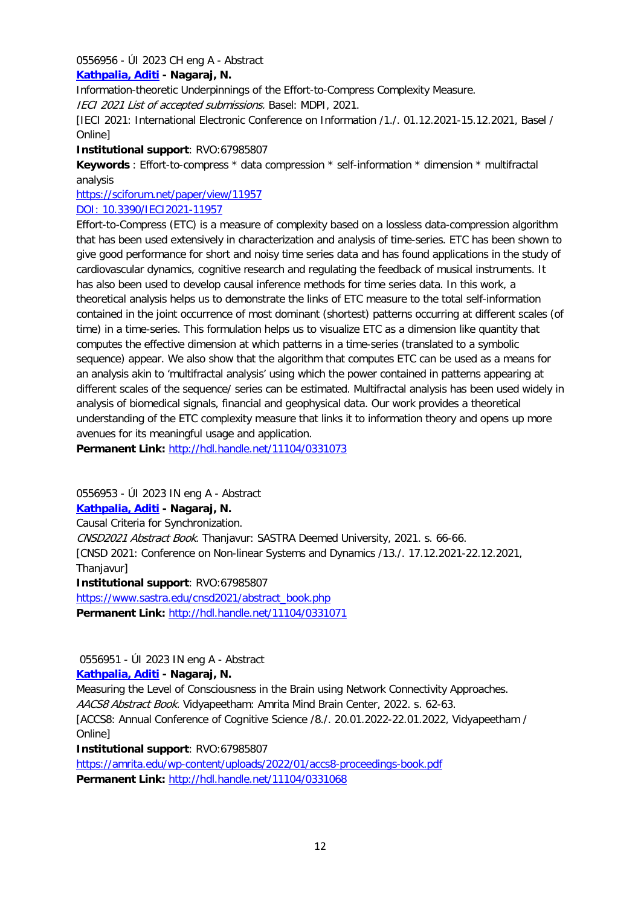## 0556956 - ÚI 2023 CH eng A - Abstract

## **[Kathpalia, Aditi](https://asep-analytika.lib.cas.cz/bibliografie/asep/uivt-o/0408492) - Nagaraj, N.**

Information-theoretic Underpinnings of the Effort-to-Compress Complexity Measure. IECI 2021 List of accepted submissions. Basel: MDPI, 2021.

[IECI 2021: International Electronic Conference on Information /1./. 01.12.2021-15.12.2021, Basel / Online]

## **Institutional support**: RVO:67985807

**Keywords** : Effort-to-compress \* data compression \* self-information \* dimension \* multifractal analysis

[https://sciforum.net/paper/view/11957](https://asep.lib.cas.cz/arl-cav/en/gwext/?url=https%3A//sciforum.net/paper/view/11957&type=extlink)

## [DOI: 10.3390/IECI2021-11957](http://dx.doi.org/10.3390/IECI2021-11957)

Effort-to-Compress (ETC) is a measure of complexity based on a lossless data-compression algorithm that has been used extensively in characterization and analysis of time-series. ETC has been shown to give good performance for short and noisy time series data and has found applications in the study of cardiovascular dynamics, cognitive research and regulating the feedback of musical instruments. It has also been used to develop causal inference methods for time series data. In this work, a theoretical analysis helps us to demonstrate the links of ETC measure to the total self-information contained in the joint occurrence of most dominant (shortest) patterns occurring at different scales (of time) in a time-series. This formulation helps us to visualize ETC as a dimension like quantity that computes the effective dimension at which patterns in a time-series (translated to a symbolic sequence) appear. We also show that the algorithm that computes ETC can be used as a means for an analysis akin to 'multifractal analysis' using which the power contained in patterns appearing at different scales of the sequence/ series can be estimated. Multifractal analysis has been used widely in analysis of biomedical signals, financial and geophysical data. Our work provides a theoretical understanding of the ETC complexity measure that links it to information theory and opens up more avenues for its meaningful usage and application.

**Permanent Link:** <http://hdl.handle.net/11104/0331073>

0556953 - ÚI 2023 IN eng A - Abstract

## **[Kathpalia, Aditi](https://asep-analytika.lib.cas.cz/bibliografie/asep/uivt-o/0408492) - Nagaraj, N.**

Causal Criteria for Synchronization. CNSD2021 Abstract Book. Thanjavur: SASTRA Deemed University, 2021. s. 66-66. [CNSD 2021: Conference on Non-linear Systems and Dynamics /13./. 17.12.2021-22.12.2021, Thanjavur] **Institutional support**: RVO:67985807

[https://www.sastra.edu/cnsd2021/abstract\\_book.php](https://asep.lib.cas.cz/arl-cav/en/gwext/?url=https%3A//www.sastra.edu/cnsd2021/abstract_book.php&type=extlink) **Permanent Link:** <http://hdl.handle.net/11104/0331071>

## 0556951 - ÚI 2023 IN eng A - Abstract

## **[Kathpalia, Aditi](https://asep-analytika.lib.cas.cz/bibliografie/asep/uivt-o/0408492) - Nagaraj, N.**

Measuring the Level of Consciousness in the Brain using Network Connectivity Approaches. AACS8 Abstract Book. Vidyapeetham: Amrita Mind Brain Center, 2022. s. 62-63. [ACCS8: Annual Conference of Cognitive Science /8./. 20.01.2022-22.01.2022, Vidyapeetham / Online]

**Institutional support**: RVO:67985807

<https://amrita.edu/wp-content/uploads/2022/01/accs8-proceedings-book.pdf> **Permanent Link:** <http://hdl.handle.net/11104/0331068>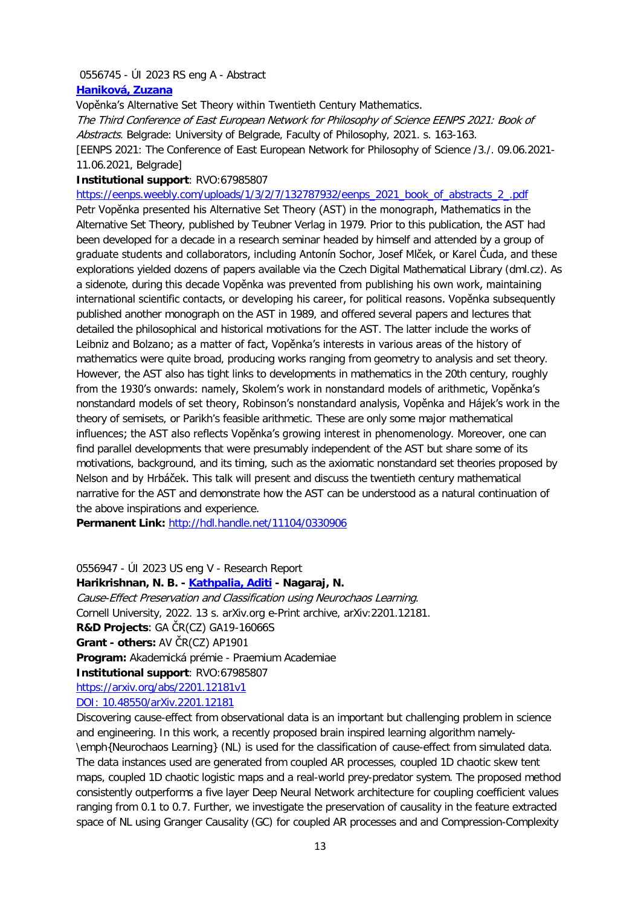#### 0556745 - ÚI 2023 RS eng A - Abstract

#### **[Haniková, Zuzana](https://asep-analytika.lib.cas.cz/bibliografie/asep/uivt-o/0015032)**

Vopěnka's Alternative Set Theory within Twentieth Century Mathematics.

The Third Conference of East European Network for Philosophy of Science EENPS 2021: Book of Abstracts. Belgrade: University of Belgrade, Faculty of Philosophy, 2021. s. 163-163. [EENPS 2021: The Conference of East European Network for Philosophy of Science /3./. 09.06.2021- 11.06.2021, Belgrade]

#### **Institutional support**: RVO:67985807

[https://eenps.weebly.com/uploads/1/3/2/7/132787932/eenps\\_2021\\_book\\_of\\_abstracts\\_2\\_.pdf](https://eenps.weebly.com/uploads/1/3/2/7/132787932/eenps_2021_book_of_abstracts_2_.pdf) Petr Vopěnka presented his Alternative Set Theory (AST) in the monograph, Mathematics in the Alternative Set Theory, published by Teubner Verlag in 1979. Prior to this publication, the AST had been developed for a decade in a research seminar headed by himself and attended by a group of graduate students and collaborators, including Antonín Sochor, Josef Mlček, or Karel Čuda, and these explorations yielded dozens of papers available via the Czech Digital Mathematical Library (dml.cz). As a sidenote, during this decade Vopěnka was prevented from publishing his own work, maintaining international scientific contacts, or developing his career, for political reasons. Vopěnka subsequently published another monograph on the AST in 1989, and offered several papers and lectures that detailed the philosophical and historical motivations for the AST. The latter include the works of Leibniz and Bolzano; as a matter of fact, Vopěnka's interests in various areas of the history of mathematics were quite broad, producing works ranging from geometry to analysis and set theory. However, the AST also has tight links to developments in mathematics in the 20th century, roughly from the 1930's onwards: namely, Skolem's work in nonstandard models of arithmetic, Vopěnka's nonstandard models of set theory, Robinson's nonstandard analysis, Vopěnka and Hájek's work in the theory of semisets, or Parikh's feasible arithmetic. These are only some major mathematical influences; the AST also reflects Vopěnka's growing interest in phenomenology. Moreover, one can find parallel developments that were presumably independent of the AST but share some of its motivations, background, and its timing, such as the axiomatic nonstandard set theories proposed by Nelson and by Hrbáček. This talk will present and discuss the twentieth century mathematical narrative for the AST and demonstrate how the AST can be understood as a natural continuation of the above inspirations and experience.

**Permanent Link:** <http://hdl.handle.net/11104/0330906>

## 0556947 - ÚI 2023 US eng V - Research Report

#### **Harikrishnan, N. B. - [Kathpalia, Aditi](https://asep-analytika.lib.cas.cz/bibliografie/asep/uivt-o/0408492) - Nagaraj, N.**

Cause-Effect Preservation and Classification using Neurochaos Learning. Cornell University, 2022. 13 s. arXiv.org e-Print archive, arXiv:2201.12181. **R&D Projects**: GA ČR(CZ) GA19-16066S **Grant - others:** AV ČR(CZ) AP1901 **Program:** Akademická prémie - Praemium Academiae **Institutional support**: RVO:67985807 [https://arxiv.org/abs/2201.12181v1](https://asep.lib.cas.cz/arl-cav/en/gwext/?url=https%3A//arxiv.org/abs/2201.12181v1&type=extlink) [DOI: 10.48550/arXiv.2201.12181](http://dx.doi.org/10.48550/arXiv.2201.12181)

Discovering cause-effect from observational data is an important but challenging problem in science and engineering. In this work, a recently proposed brain inspired learning algorithm namely- \emph{Neurochaos Learning} (NL) is used for the classification of cause-effect from simulated data. The data instances used are generated from coupled AR processes, coupled 1D chaotic skew tent maps, coupled 1D chaotic logistic maps and a real-world prey-predator system. The proposed method consistently outperforms a five layer Deep Neural Network architecture for coupling coefficient values ranging from 0.1 to 0.7. Further, we investigate the preservation of causality in the feature extracted space of NL using Granger Causality (GC) for coupled AR processes and and Compression-Complexity